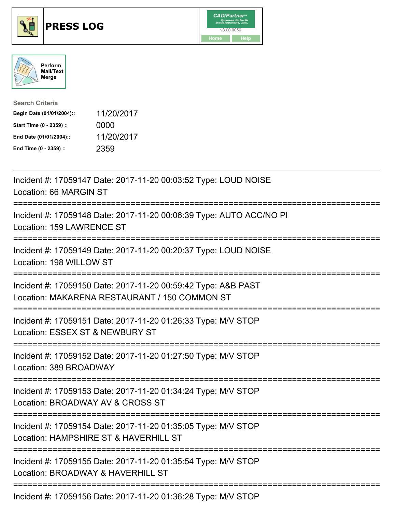





| <b>Search Criteria</b>    |            |
|---------------------------|------------|
| Begin Date (01/01/2004):: | 11/20/2017 |
| Start Time (0 - 2359) ::  | 0000       |
| End Date (01/01/2004)::   | 11/20/2017 |
| End Time (0 - 2359) ::    | 2359       |

| Incident #: 17059147 Date: 2017-11-20 00:03:52 Type: LOUD NOISE<br>Location: 66 MARGIN ST                                                   |
|---------------------------------------------------------------------------------------------------------------------------------------------|
| Incident #: 17059148 Date: 2017-11-20 00:06:39 Type: AUTO ACC/NO PI<br>Location: 159 LAWRENCE ST                                            |
| Incident #: 17059149 Date: 2017-11-20 00:20:37 Type: LOUD NOISE<br>Location: 198 WILLOW ST<br>=================                             |
| Incident #: 17059150 Date: 2017-11-20 00:59:42 Type: A&B PAST<br>Location: MAKARENA RESTAURANT / 150 COMMON ST<br>========================= |
| Incident #: 17059151 Date: 2017-11-20 01:26:33 Type: M/V STOP<br>Location: ESSEX ST & NEWBURY ST<br>:=========<br>------------------------  |
| Incident #: 17059152 Date: 2017-11-20 01:27:50 Type: M/V STOP<br>Location: 389 BROADWAY<br>------------------------------------             |
| Incident #: 17059153 Date: 2017-11-20 01:34:24 Type: M/V STOP<br>Location: BROADWAY AV & CROSS ST                                           |
| Incident #: 17059154 Date: 2017-11-20 01:35:05 Type: M/V STOP<br>Location: HAMPSHIRE ST & HAVERHILL ST                                      |
| Incident #: 17059155 Date: 2017-11-20 01:35:54 Type: M/V STOP<br>Location: BROADWAY & HAVERHILL ST<br>---------------------------           |
| Incident #: 17059156 Date: 2017-11-20 01:36:28 Type: M/V STOP                                                                               |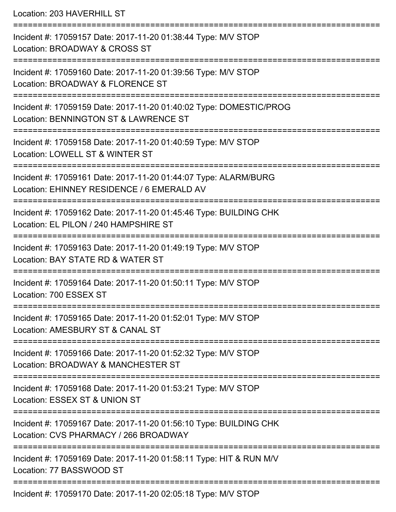Location: 203 HAVERHILL ST

=========================================================================== Incident #: 17059157 Date: 2017-11-20 01:38:44 Type: M/V STOP Location: BROADWAY & CROSS ST =========================================================================== Incident #: 17059160 Date: 2017-11-20 01:39:56 Type: M/V STOP Location: BROADWAY & FLORENCE ST =========================================================================== Incident #: 17059159 Date: 2017-11-20 01:40:02 Type: DOMESTIC/PROG Location: BENNINGTON ST & LAWRENCE ST =========================================================================== Incident #: 17059158 Date: 2017-11-20 01:40:59 Type: M/V STOP Location: LOWELL ST & WINTER ST =========================================================================== Incident #: 17059161 Date: 2017-11-20 01:44:07 Type: ALARM/BURG Location: EHINNEY RESIDENCE / 6 EMERALD AV =========================================================================== Incident #: 17059162 Date: 2017-11-20 01:45:46 Type: BUILDING CHK Location: EL PILON / 240 HAMPSHIRE ST =========================================================================== Incident #: 17059163 Date: 2017-11-20 01:49:19 Type: M/V STOP Location: BAY STATE RD & WATER ST =========================================================================== Incident #: 17059164 Date: 2017-11-20 01:50:11 Type: M/V STOP Location: 700 ESSEX ST =========================================================================== Incident #: 17059165 Date: 2017-11-20 01:52:01 Type: M/V STOP Location: AMESBURY ST & CANAL ST =========================================================================== Incident #: 17059166 Date: 2017-11-20 01:52:32 Type: M/V STOP Location: BROADWAY & MANCHESTER ST =========================================================================== Incident #: 17059168 Date: 2017-11-20 01:53:21 Type: M/V STOP Location: ESSEX ST & UNION ST =========================================================================== Incident #: 17059167 Date: 2017-11-20 01:56:10 Type: BUILDING CHK Location: CVS PHARMACY / 266 BROADWAY =========================================================================== Incident #: 17059169 Date: 2017-11-20 01:58:11 Type: HIT & RUN M/V Location: 77 BASSWOOD ST =========================================================================== Incident #: 17059170 Date: 2017-11-20 02:05:18 Type: M/V STOP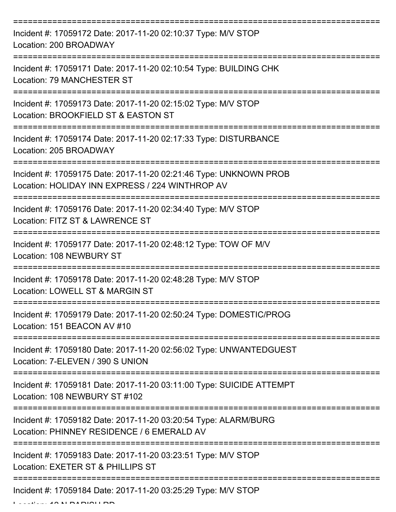| Incident #: 17059172 Date: 2017-11-20 02:10:37 Type: M/V STOP<br>Location: 200 BROADWAY                              |
|----------------------------------------------------------------------------------------------------------------------|
| Incident #: 17059171 Date: 2017-11-20 02:10:54 Type: BUILDING CHK<br>Location: 79 MANCHESTER ST                      |
| Incident #: 17059173 Date: 2017-11-20 02:15:02 Type: M/V STOP<br>Location: BROOKFIELD ST & EASTON ST                 |
| Incident #: 17059174 Date: 2017-11-20 02:17:33 Type: DISTURBANCE<br>Location: 205 BROADWAY                           |
| Incident #: 17059175 Date: 2017-11-20 02:21:46 Type: UNKNOWN PROB<br>Location: HOLIDAY INN EXPRESS / 224 WINTHROP AV |
| Incident #: 17059176 Date: 2017-11-20 02:34:40 Type: M/V STOP<br>Location: FITZ ST & LAWRENCE ST                     |
| Incident #: 17059177 Date: 2017-11-20 02:48:12 Type: TOW OF M/V<br>Location: 108 NEWBURY ST                          |
| Incident #: 17059178 Date: 2017-11-20 02:48:28 Type: M/V STOP<br>Location: LOWELL ST & MARGIN ST                     |
| Incident #: 17059179 Date: 2017-11-20 02:50:24 Type: DOMESTIC/PROG<br>Location: 151 BEACON AV #10                    |
| Incident #: 17059180 Date: 2017-11-20 02:56:02 Type: UNWANTEDGUEST<br>Location: 7-ELEVEN / 390 S UNION               |
| Incident #: 17059181 Date: 2017-11-20 03:11:00 Type: SUICIDE ATTEMPT<br>Location: 108 NEWBURY ST #102                |
| Incident #: 17059182 Date: 2017-11-20 03:20:54 Type: ALARM/BURG<br>Location: PHINNEY RESIDENCE / 6 EMERALD AV        |
| Incident #: 17059183 Date: 2017-11-20 03:23:51 Type: M/V STOP<br>Location: EXETER ST & PHILLIPS ST                   |
| Incident #: 17059184 Date: 2017-11-20 03:25:29 Type: M/V STOP                                                        |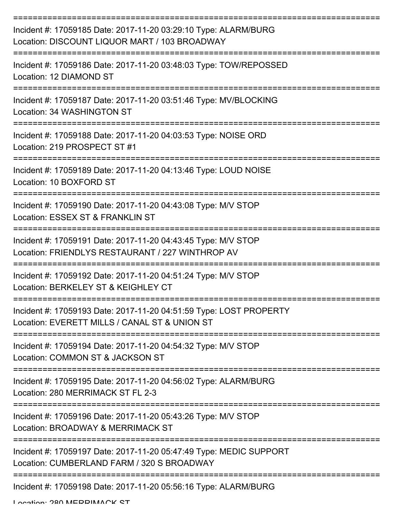| Incident #: 17059185 Date: 2017-11-20 03:29:10 Type: ALARM/BURG<br>Location: DISCOUNT LIQUOR MART / 103 BROADWAY    |
|---------------------------------------------------------------------------------------------------------------------|
| Incident #: 17059186 Date: 2017-11-20 03:48:03 Type: TOW/REPOSSED<br>Location: 12 DIAMOND ST                        |
| Incident #: 17059187 Date: 2017-11-20 03:51:46 Type: MV/BLOCKING<br>Location: 34 WASHINGTON ST                      |
| Incident #: 17059188 Date: 2017-11-20 04:03:53 Type: NOISE ORD<br>Location: 219 PROSPECT ST #1                      |
| Incident #: 17059189 Date: 2017-11-20 04:13:46 Type: LOUD NOISE<br>Location: 10 BOXFORD ST                          |
| Incident #: 17059190 Date: 2017-11-20 04:43:08 Type: M/V STOP<br>Location: ESSEX ST & FRANKLIN ST                   |
| Incident #: 17059191 Date: 2017-11-20 04:43:45 Type: M/V STOP<br>Location: FRIENDLYS RESTAURANT / 227 WINTHROP AV   |
| Incident #: 17059192 Date: 2017-11-20 04:51:24 Type: M/V STOP<br>Location: BERKELEY ST & KEIGHLEY CT                |
| Incident #: 17059193 Date: 2017-11-20 04:51:59 Type: LOST PROPERTY<br>Location: EVERETT MILLS / CANAL ST & UNION ST |
| Incident #: 17059194 Date: 2017-11-20 04:54:32 Type: M/V STOP<br>Location: COMMON ST & JACKSON ST                   |
| Incident #: 17059195 Date: 2017-11-20 04:56:02 Type: ALARM/BURG<br>Location: 280 MERRIMACK ST FL 2-3                |
| Incident #: 17059196 Date: 2017-11-20 05:43:26 Type: M/V STOP<br>Location: BROADWAY & MERRIMACK ST                  |
| Incident #: 17059197 Date: 2017-11-20 05:47:49 Type: MEDIC SUPPORT<br>Location: CUMBERLAND FARM / 320 S BROADWAY    |
| Incident #: 17059198 Date: 2017-11-20 05:56:16 Type: ALARM/BURG                                                     |

Location: 280 MEDDIMACK ST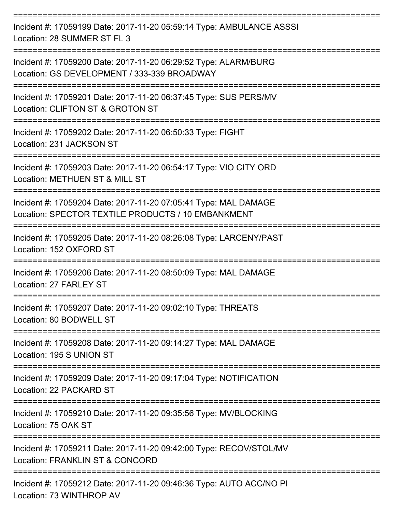| Incident #: 17059199 Date: 2017-11-20 05:59:14 Type: AMBULANCE ASSSI<br>Location: 28 SUMMER ST FL 3                   |
|-----------------------------------------------------------------------------------------------------------------------|
| Incident #: 17059200 Date: 2017-11-20 06:29:52 Type: ALARM/BURG<br>Location: GS DEVELOPMENT / 333-339 BROADWAY        |
| Incident #: 17059201 Date: 2017-11-20 06:37:45 Type: SUS PERS/MV<br>Location: CLIFTON ST & GROTON ST                  |
| Incident #: 17059202 Date: 2017-11-20 06:50:33 Type: FIGHT<br>Location: 231 JACKSON ST                                |
| Incident #: 17059203 Date: 2017-11-20 06:54:17 Type: VIO CITY ORD<br>Location: METHUEN ST & MILL ST                   |
| Incident #: 17059204 Date: 2017-11-20 07:05:41 Type: MAL DAMAGE<br>Location: SPECTOR TEXTILE PRODUCTS / 10 EMBANKMENT |
| Incident #: 17059205 Date: 2017-11-20 08:26:08 Type: LARCENY/PAST<br>Location: 152 OXFORD ST                          |
| Incident #: 17059206 Date: 2017-11-20 08:50:09 Type: MAL DAMAGE<br>Location: 27 FARLEY ST                             |
| Incident #: 17059207 Date: 2017-11-20 09:02:10 Type: THREATS<br>Location: 80 BODWELL ST                               |
| Incident #: 17059208 Date: 2017-11-20 09:14:27 Type: MAL DAMAGE<br>Location: 195 S UNION ST                           |
| Incident #: 17059209 Date: 2017-11-20 09:17:04 Type: NOTIFICATION<br>Location: 22 PACKARD ST                          |
| Incident #: 17059210 Date: 2017-11-20 09:35:56 Type: MV/BLOCKING<br>Location: 75 OAK ST                               |
| Incident #: 17059211 Date: 2017-11-20 09:42:00 Type: RECOV/STOL/MV<br>Location: FRANKLIN ST & CONCORD                 |
| Incident #: 17059212 Date: 2017-11-20 09:46:36 Type: AUTO ACC/NO PI                                                   |

Location: 73 WINTHROP AV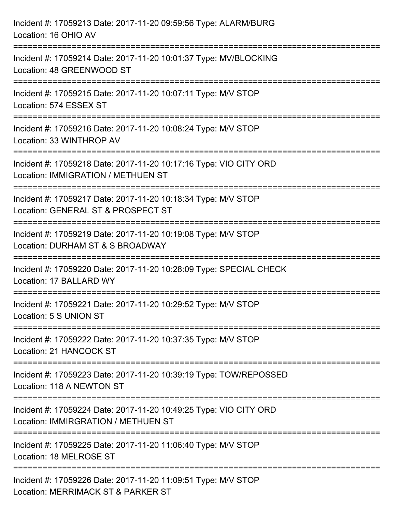| Incident #: 17059213 Date: 2017-11-20 09:59:56 Type: ALARM/BURG<br>Location: 16 OHIO AV                                     |
|-----------------------------------------------------------------------------------------------------------------------------|
| Incident #: 17059214 Date: 2017-11-20 10:01:37 Type: MV/BLOCKING<br>Location: 48 GREENWOOD ST                               |
| Incident #: 17059215 Date: 2017-11-20 10:07:11 Type: M/V STOP<br>Location: 574 ESSEX ST                                     |
| Incident #: 17059216 Date: 2017-11-20 10:08:24 Type: M/V STOP<br>Location: 33 WINTHROP AV                                   |
| Incident #: 17059218 Date: 2017-11-20 10:17:16 Type: VIO CITY ORD<br>Location: IMMIGRATION / METHUEN ST                     |
| --------------------<br>Incident #: 17059217 Date: 2017-11-20 10:18:34 Type: M/V STOP<br>Location: GENERAL ST & PROSPECT ST |
| :====================<br>Incident #: 17059219 Date: 2017-11-20 10:19:08 Type: M/V STOP<br>Location: DURHAM ST & S BROADWAY  |
| =================<br>Incident #: 17059220 Date: 2017-11-20 10:28:09 Type: SPECIAL CHECK<br>Location: 17 BALLARD WY          |
| Incident #: 17059221 Date: 2017-11-20 10:29:52 Type: M/V STOP<br>Location: 5 S UNION ST                                     |
| Incident #: 17059222 Date: 2017-11-20 10:37:35 Type: M/V STOP<br>Location: 21 HANCOCK ST                                    |
| Incident #: 17059223 Date: 2017-11-20 10:39:19 Type: TOW/REPOSSED<br>Location: 118 A NEWTON ST                              |
| Incident #: 17059224 Date: 2017-11-20 10:49:25 Type: VIO CITY ORD<br>Location: IMMIRGRATION / METHUEN ST                    |
| Incident #: 17059225 Date: 2017-11-20 11:06:40 Type: M/V STOP<br>Location: 18 MELROSE ST                                    |
| Incident #: 17059226 Date: 2017-11-20 11:09:51 Type: M/V STOP<br>Location: MERRIMACK ST & PARKER ST                         |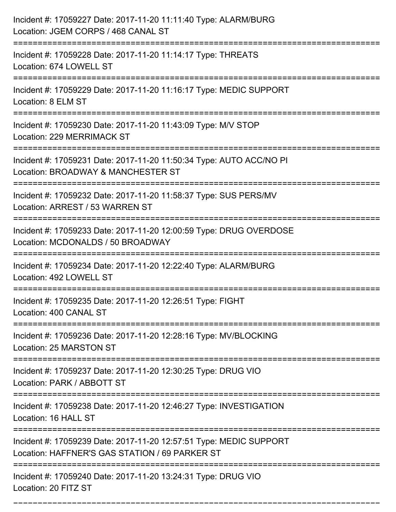| Incident #: 17059227 Date: 2017-11-20 11:11:40 Type: ALARM/BURG<br>Location: JGEM CORPS / 468 CANAL ST                                               |
|------------------------------------------------------------------------------------------------------------------------------------------------------|
| Incident #: 17059228 Date: 2017-11-20 11:14:17 Type: THREATS<br>Location: 674 LOWELL ST                                                              |
| Incident #: 17059229 Date: 2017-11-20 11:16:17 Type: MEDIC SUPPORT<br>Location: 8 ELM ST                                                             |
| Incident #: 17059230 Date: 2017-11-20 11:43:09 Type: M/V STOP<br>Location: 229 MERRIMACK ST                                                          |
| Incident #: 17059231 Date: 2017-11-20 11:50:34 Type: AUTO ACC/NO PI<br>Location: BROADWAY & MANCHESTER ST                                            |
| Incident #: 17059232 Date: 2017-11-20 11:58:37 Type: SUS PERS/MV<br>Location: ARREST / 53 WARREN ST                                                  |
| Incident #: 17059233 Date: 2017-11-20 12:00:59 Type: DRUG OVERDOSE<br>Location: MCDONALDS / 50 BROADWAY                                              |
| Incident #: 17059234 Date: 2017-11-20 12:22:40 Type: ALARM/BURG<br>Location: 492 LOWELL ST                                                           |
| Incident #: 17059235 Date: 2017-11-20 12:26:51 Type: FIGHT<br>Location: 400 CANAL ST                                                                 |
| Incident #: 17059236 Date: 2017-11-20 12:28:16 Type: MV/BLOCKING<br>Location: 25 MARSTON ST                                                          |
| Incident #: 17059237 Date: 2017-11-20 12:30:25 Type: DRUG VIO<br>Location: PARK / ABBOTT ST                                                          |
| Incident #: 17059238 Date: 2017-11-20 12:46:27 Type: INVESTIGATION<br>Location: 16 HALL ST                                                           |
| ============================<br>Incident #: 17059239 Date: 2017-11-20 12:57:51 Type: MEDIC SUPPORT<br>Location: HAFFNER'S GAS STATION / 69 PARKER ST |
| ================================<br>Incident #: 17059240 Date: 2017-11-20 13:24:31 Type: DRUG VIO<br>Location: 20 FITZ ST                            |

===========================================================================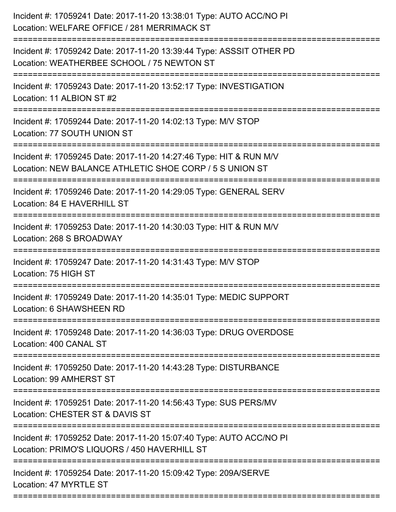| Incident #: 17059241 Date: 2017-11-20 13:38:01 Type: AUTO ACC/NO PI<br>Location: WELFARE OFFICE / 281 MERRIMACK ST            |
|-------------------------------------------------------------------------------------------------------------------------------|
| Incident #: 17059242 Date: 2017-11-20 13:39:44 Type: ASSSIT OTHER PD<br>Location: WEATHERBEE SCHOOL / 75 NEWTON ST            |
| Incident #: 17059243 Date: 2017-11-20 13:52:17 Type: INVESTIGATION<br>Location: 11 ALBION ST #2                               |
| Incident #: 17059244 Date: 2017-11-20 14:02:13 Type: M/V STOP<br>Location: 77 SOUTH UNION ST                                  |
| Incident #: 17059245 Date: 2017-11-20 14:27:46 Type: HIT & RUN M/V<br>Location: NEW BALANCE ATHLETIC SHOE CORP / 5 S UNION ST |
| Incident #: 17059246 Date: 2017-11-20 14:29:05 Type: GENERAL SERV<br>Location: 84 E HAVERHILL ST                              |
| Incident #: 17059253 Date: 2017-11-20 14:30:03 Type: HIT & RUN M/V<br>Location: 268 S BROADWAY                                |
| Incident #: 17059247 Date: 2017-11-20 14:31:43 Type: M/V STOP<br>Location: 75 HIGH ST                                         |
| Incident #: 17059249 Date: 2017-11-20 14:35:01 Type: MEDIC SUPPORT<br>Location: 6 SHAWSHEEN RD                                |
| Incident #: 17059248 Date: 2017-11-20 14:36:03 Type: DRUG OVERDOSE<br>Location: 400 CANAL ST                                  |
| Incident #: 17059250 Date: 2017-11-20 14:43:28 Type: DISTURBANCE<br>Location: 99 AMHERST ST                                   |
| Incident #: 17059251 Date: 2017-11-20 14:56:43 Type: SUS PERS/MV<br>Location: CHESTER ST & DAVIS ST                           |
| Incident #: 17059252 Date: 2017-11-20 15:07:40 Type: AUTO ACC/NO PI<br>Location: PRIMO'S LIQUORS / 450 HAVERHILL ST           |
| Incident #: 17059254 Date: 2017-11-20 15:09:42 Type: 209A/SERVE<br>Location: 47 MYRTLE ST                                     |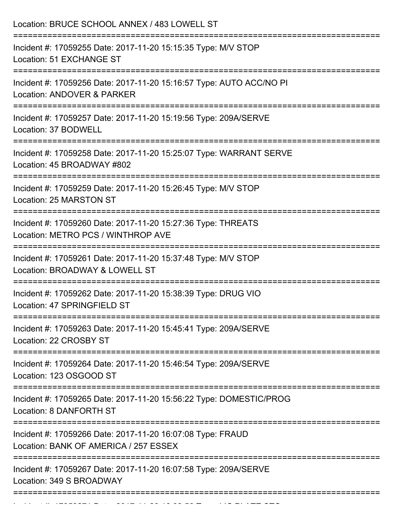| Location: BRUCE SCHOOL ANNEX / 483 LOWELL ST                                                                                      |
|-----------------------------------------------------------------------------------------------------------------------------------|
| Incident #: 17059255 Date: 2017-11-20 15:15:35 Type: M/V STOP<br>Location: 51 EXCHANGE ST<br>==================================== |
| Incident #: 17059256 Date: 2017-11-20 15:16:57 Type: AUTO ACC/NO PI<br>Location: ANDOVER & PARKER                                 |
| Incident #: 17059257 Date: 2017-11-20 15:19:56 Type: 209A/SERVE<br>Location: 37 BODWELL                                           |
| Incident #: 17059258 Date: 2017-11-20 15:25:07 Type: WARRANT SERVE<br>Location: 45 BROADWAY #802                                  |
| Incident #: 17059259 Date: 2017-11-20 15:26:45 Type: M/V STOP<br>Location: 25 MARSTON ST                                          |
| Incident #: 17059260 Date: 2017-11-20 15:27:36 Type: THREATS<br>Location: METRO PCS / WINTHROP AVE                                |
| Incident #: 17059261 Date: 2017-11-20 15:37:48 Type: M/V STOP<br>Location: BROADWAY & LOWELL ST                                   |
| Incident #: 17059262 Date: 2017-11-20 15:38:39 Type: DRUG VIO<br>Location: 47 SPRINGFIELD ST                                      |
| Incident #: 17059263 Date: 2017-11-20 15:45:41 Type: 209A/SERVE<br>Location: 22 CROSBY ST                                         |
| Incident #: 17059264 Date: 2017-11-20 15:46:54 Type: 209A/SERVE<br>Location: 123 OSGOOD ST                                        |
| Incident #: 17059265 Date: 2017-11-20 15:56:22 Type: DOMESTIC/PROG<br>Location: 8 DANFORTH ST                                     |
| Incident #: 17059266 Date: 2017-11-20 16:07:08 Type: FRAUD<br>Location: BANK OF AMERICA / 257 ESSEX                               |
| Incident #: 17059267 Date: 2017-11-20 16:07:58 Type: 209A/SERVE<br>Location: 349 S BROADWAY                                       |

Incident #: 17059271 Date: 2017 11 2017 12059271 Date: 2017 12059271 Date: 2018<br>.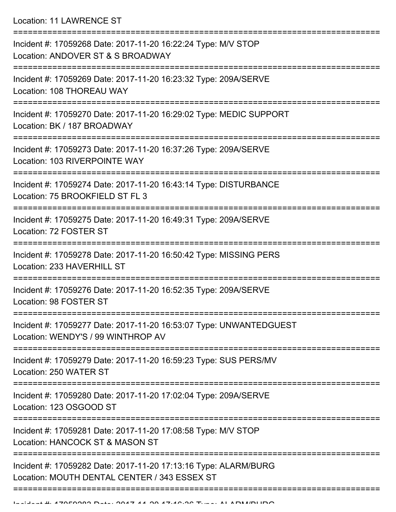Location: 11 LAWRENCE ST

| Incident #: 17059268 Date: 2017-11-20 16:22:24 Type: M/V STOP<br>Location: ANDOVER ST & S BROADWAY                            |
|-------------------------------------------------------------------------------------------------------------------------------|
| Incident #: 17059269 Date: 2017-11-20 16:23:32 Type: 209A/SERVE<br>Location: 108 THOREAU WAY                                  |
| Incident #: 17059270 Date: 2017-11-20 16:29:02 Type: MEDIC SUPPORT<br>Location: BK / 187 BROADWAY                             |
| Incident #: 17059273 Date: 2017-11-20 16:37:26 Type: 209A/SERVE<br>Location: 103 RIVERPOINTE WAY                              |
| Incident #: 17059274 Date: 2017-11-20 16:43:14 Type: DISTURBANCE<br>Location: 75 BROOKFIELD ST FL 3                           |
| Incident #: 17059275 Date: 2017-11-20 16:49:31 Type: 209A/SERVE<br>Location: 72 FOSTER ST                                     |
| Incident #: 17059278 Date: 2017-11-20 16:50:42 Type: MISSING PERS<br>Location: 233 HAVERHILL ST                               |
| Incident #: 17059276 Date: 2017-11-20 16:52:35 Type: 209A/SERVE<br>Location: 98 FOSTER ST                                     |
| Incident #: 17059277 Date: 2017-11-20 16:53:07 Type: UNWANTEDGUEST<br>Location: WENDY'S / 99 WINTHROP AV                      |
| Incident #: 17059279 Date: 2017-11-20 16:59:23 Type: SUS PERS/MV<br>Location: 250 WATER ST                                    |
| Incident #: 17059280 Date: 2017-11-20 17:02:04 Type: 209A/SERVE<br>Location: 123 OSGOOD ST                                    |
| =========================<br>Incident #: 17059281 Date: 2017-11-20 17:08:58 Type: M/V STOP<br>Location: HANCOCK ST & MASON ST |
| Incident #: 17059282 Date: 2017-11-20 17:13:16 Type: ALARM/BURG<br>Location: MOUTH DENTAL CENTER / 343 ESSEX ST               |
|                                                                                                                               |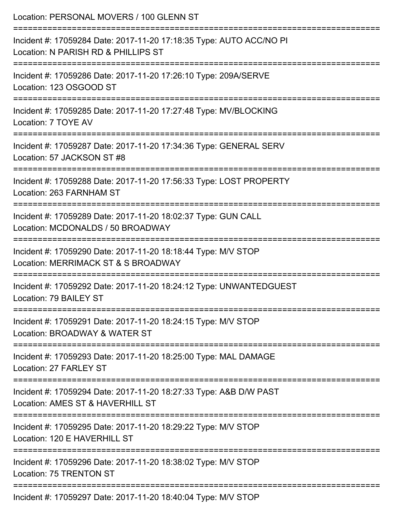| Location: PERSONAL MOVERS / 100 GLENN ST                                                                                         |
|----------------------------------------------------------------------------------------------------------------------------------|
| Incident #: 17059284 Date: 2017-11-20 17:18:35 Type: AUTO ACC/NO PI<br>Location: N PARISH RD & PHILLIPS ST                       |
| Incident #: 17059286 Date: 2017-11-20 17:26:10 Type: 209A/SERVE<br>Location: 123 OSGOOD ST                                       |
| Incident #: 17059285 Date: 2017-11-20 17:27:48 Type: MV/BLOCKING<br>Location: 7 TOYE AV                                          |
| Incident #: 17059287 Date: 2017-11-20 17:34:36 Type: GENERAL SERV<br>Location: 57 JACKSON ST #8                                  |
| Incident #: 17059288 Date: 2017-11-20 17:56:33 Type: LOST PROPERTY<br>Location: 263 FARNHAM ST                                   |
| Incident #: 17059289 Date: 2017-11-20 18:02:37 Type: GUN CALL<br>Location: MCDONALDS / 50 BROADWAY                               |
| Incident #: 17059290 Date: 2017-11-20 18:18:44 Type: M/V STOP<br>Location: MERRIMACK ST & S BROADWAY                             |
| Incident #: 17059292 Date: 2017-11-20 18:24:12 Type: UNWANTEDGUEST<br>Location: 79 BAILEY ST                                     |
| Incident #: 17059291 Date: 2017-11-20 18:24:15 Type: M/V STOP<br>Location: BROADWAY & WATER ST                                   |
| Incident #: 17059293 Date: 2017-11-20 18:25:00 Type: MAL DAMAGE<br>Location: 27 FARLEY ST                                        |
| -----------------------<br>Incident #: 17059294 Date: 2017-11-20 18:27:33 Type: A&B D/W PAST<br>Location: AMES ST & HAVERHILL ST |
| Incident #: 17059295 Date: 2017-11-20 18:29:22 Type: M/V STOP<br>Location: 120 E HAVERHILL ST                                    |
| Incident #: 17059296 Date: 2017-11-20 18:38:02 Type: M/V STOP<br>Location: 75 TRENTON ST                                         |
| Incident #: 17059297 Date: 2017-11-20 18:40:04 Type: M/V STOP                                                                    |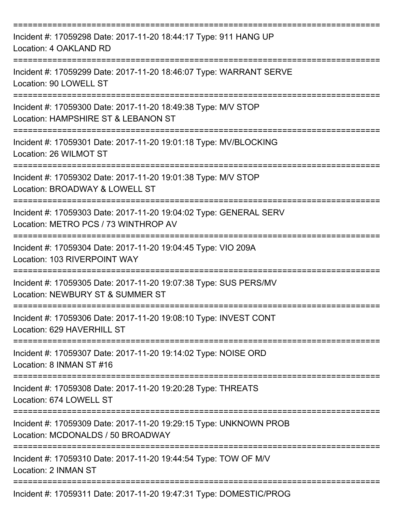| Incident #: 17059298 Date: 2017-11-20 18:44:17 Type: 911 HANG UP<br>Location: 4 OAKLAND RD                           |
|----------------------------------------------------------------------------------------------------------------------|
| Incident #: 17059299 Date: 2017-11-20 18:46:07 Type: WARRANT SERVE<br>Location: 90 LOWELL ST                         |
| Incident #: 17059300 Date: 2017-11-20 18:49:38 Type: M/V STOP<br>Location: HAMPSHIRE ST & LEBANON ST                 |
| Incident #: 17059301 Date: 2017-11-20 19:01:18 Type: MV/BLOCKING<br>Location: 26 WILMOT ST                           |
| Incident #: 17059302 Date: 2017-11-20 19:01:38 Type: M/V STOP<br>Location: BROADWAY & LOWELL ST                      |
| Incident #: 17059303 Date: 2017-11-20 19:04:02 Type: GENERAL SERV<br>Location: METRO PCS / 73 WINTHROP AV            |
| Incident #: 17059304 Date: 2017-11-20 19:04:45 Type: VIO 209A<br>Location: 103 RIVERPOINT WAY                        |
| ============<br>Incident #: 17059305 Date: 2017-11-20 19:07:38 Type: SUS PERS/MV<br>Location: NEWBURY ST & SUMMER ST |
| Incident #: 17059306 Date: 2017-11-20 19:08:10 Type: INVEST CONT<br>Location: 629 HAVERHILL ST                       |
| Incident #: 17059307 Date: 2017-11-20 19:14:02 Type: NOISE ORD<br>Location: 8 INMAN ST #16                           |
| Incident #: 17059308 Date: 2017-11-20 19:20:28 Type: THREATS<br>Location: 674 LOWELL ST                              |
| Incident #: 17059309 Date: 2017-11-20 19:29:15 Type: UNKNOWN PROB<br>Location: MCDONALDS / 50 BROADWAY               |
| Incident #: 17059310 Date: 2017-11-20 19:44:54 Type: TOW OF M/V<br>Location: 2 INMAN ST                              |
| Incident #: 17059311 Date: 2017-11-20 19:47:31 Type: DOMESTIC/PROG                                                   |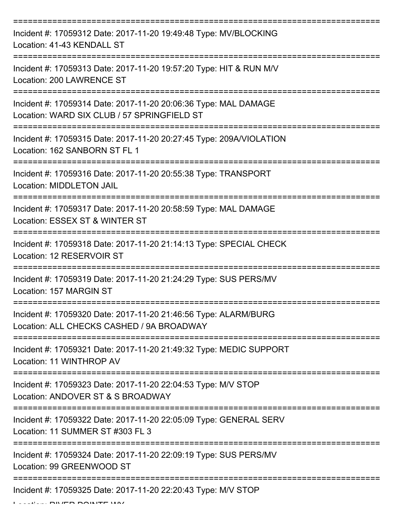| Incident #: 17059312 Date: 2017-11-20 19:49:48 Type: MV/BLOCKING<br>Location: 41-43 KENDALL ST                 |
|----------------------------------------------------------------------------------------------------------------|
| Incident #: 17059313 Date: 2017-11-20 19:57:20 Type: HIT & RUN M/V<br>Location: 200 LAWRENCE ST                |
| Incident #: 17059314 Date: 2017-11-20 20:06:36 Type: MAL DAMAGE<br>Location: WARD SIX CLUB / 57 SPRINGFIELD ST |
| Incident #: 17059315 Date: 2017-11-20 20:27:45 Type: 209A/VIOLATION<br>Location: 162 SANBORN ST FL 1           |
| Incident #: 17059316 Date: 2017-11-20 20:55:38 Type: TRANSPORT<br><b>Location: MIDDLETON JAIL</b>              |
| Incident #: 17059317 Date: 2017-11-20 20:58:59 Type: MAL DAMAGE<br>Location: ESSEX ST & WINTER ST              |
| Incident #: 17059318 Date: 2017-11-20 21:14:13 Type: SPECIAL CHECK<br>Location: 12 RESERVOIR ST<br>=========   |
| Incident #: 17059319 Date: 2017-11-20 21:24:29 Type: SUS PERS/MV<br>Location: 157 MARGIN ST                    |
| Incident #: 17059320 Date: 2017-11-20 21:46:56 Type: ALARM/BURG<br>Location: ALL CHECKS CASHED / 9A BROADWAY   |
| Incident #: 17059321 Date: 2017-11-20 21:49:32 Type: MEDIC SUPPORT<br>Location: 11 WINTHROP AV                 |
| Incident #: 17059323 Date: 2017-11-20 22:04:53 Type: M/V STOP<br>Location: ANDOVER ST & S BROADWAY             |
| Incident #: 17059322 Date: 2017-11-20 22:05:09 Type: GENERAL SERV<br>Location: 11 SUMMER ST #303 FL 3          |
| Incident #: 17059324 Date: 2017-11-20 22:09:19 Type: SUS PERS/MV<br>Location: 99 GREENWOOD ST                  |
| Incident #: 17059325 Date: 2017-11-20 22:20:43 Type: M/V STOP                                                  |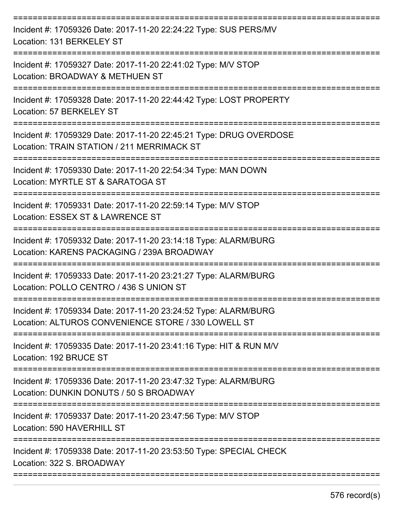| Incident #: 17059326 Date: 2017-11-20 22:24:22 Type: SUS PERS/MV<br>Location: 131 BERKELEY ST                                           |
|-----------------------------------------------------------------------------------------------------------------------------------------|
| Incident #: 17059327 Date: 2017-11-20 22:41:02 Type: M/V STOP<br>Location: BROADWAY & METHUEN ST                                        |
| Incident #: 17059328 Date: 2017-11-20 22:44:42 Type: LOST PROPERTY<br>Location: 57 BERKELEY ST                                          |
| Incident #: 17059329 Date: 2017-11-20 22:45:21 Type: DRUG OVERDOSE<br>Location: TRAIN STATION / 211 MERRIMACK ST                        |
| Incident #: 17059330 Date: 2017-11-20 22:54:34 Type: MAN DOWN<br>Location: MYRTLE ST & SARATOGA ST                                      |
| Incident #: 17059331 Date: 2017-11-20 22:59:14 Type: M/V STOP<br>Location: ESSEX ST & LAWRENCE ST                                       |
| Incident #: 17059332 Date: 2017-11-20 23:14:18 Type: ALARM/BURG<br>Location: KARENS PACKAGING / 239A BROADWAY                           |
| Incident #: 17059333 Date: 2017-11-20 23:21:27 Type: ALARM/BURG<br>Location: POLLO CENTRO / 436 S UNION ST                              |
| Incident #: 17059334 Date: 2017-11-20 23:24:52 Type: ALARM/BURG<br>Location: ALTUROS CONVENIENCE STORE / 330 LOWELL ST                  |
| Incident #: 17059335 Date: 2017-11-20 23:41:16 Type: HIT & RUN M/V<br>Location: 192 BRUCE ST                                            |
| =========================<br>Incident #: 17059336 Date: 2017-11-20 23:47:32 Type: ALARM/BURG<br>Location: DUNKIN DONUTS / 50 S BROADWAY |
| Incident #: 17059337 Date: 2017-11-20 23:47:56 Type: M/V STOP<br>Location: 590 HAVERHILL ST                                             |
| Incident #: 17059338 Date: 2017-11-20 23:53:50 Type: SPECIAL CHECK<br>Location: 322 S. BROADWAY                                         |